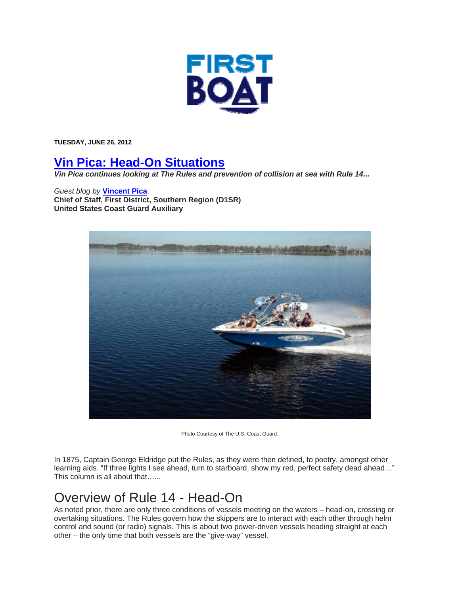

**TUESDAY, JUNE 26, 2012** 

## **Vin Pica: Head-On Situations**

*Vin Pica continues looking at The Rules and prevention of collision at sea with Rule 14...* 

## *Guest blog by* **Vincent Pica**

**Chief of Staff, First District, Southern Region (D1SR) United States Coast Guard Auxiliary**



Photo Courtesy of The U.S. Coast Guard.

In 1875, Captain George Eldridge put the Rules, as they were then defined, to poetry, amongst other learning aids. "If three lights I see ahead, turn to starboard, show my red, perfect safety dead ahead…" This column is all about that…...

## Overview of Rule 14 - Head-On

As noted prior, there are only three conditions of vessels meeting on the waters – head-on, crossing or overtaking situations. The Rules govern how the skippers are to interact with each other through helm control and sound (or radio) signals. This is about two power-driven vessels heading straight at each other – the only time that both vessels are the "give-way" vessel.